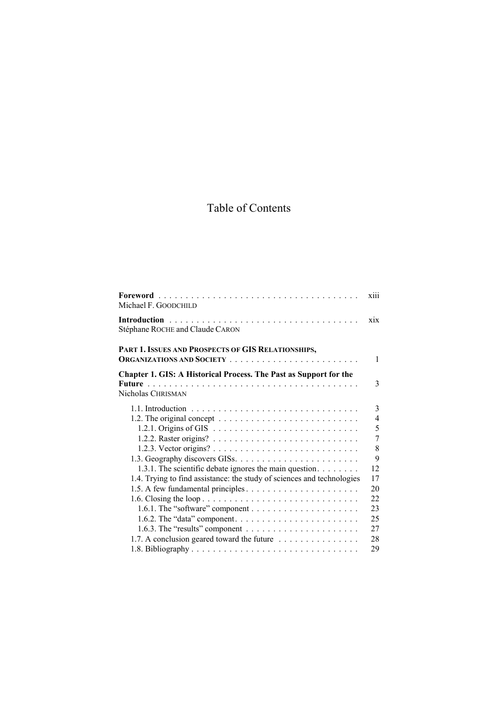# Table of Contents

| Michael F. GOODCHILD                                                                   | xiii             |
|----------------------------------------------------------------------------------------|------------------|
| Stéphane ROCHE and Claude CARON                                                        | X <sub>1</sub> X |
| PART 1. ISSUES AND PROSPECTS OF GIS RELATIONSHIPS,                                     | 1                |
|                                                                                        |                  |
| Chapter 1. GIS: A Historical Process. The Past as Support for the<br>Nicholas CHRISMAN | 3                |
|                                                                                        | $\mathfrak{Z}$   |
|                                                                                        | $\overline{4}$   |
|                                                                                        | 5                |
|                                                                                        | 7                |
|                                                                                        | 8                |
|                                                                                        | 9                |
| 1.3.1. The scientific debate ignores the main question.                                | 12               |
| 1.4. Trying to find assistance: the study of sciences and technologies                 | 17               |
|                                                                                        | 20               |
|                                                                                        | 22               |
|                                                                                        | 23               |
|                                                                                        | 25               |
|                                                                                        | 27               |
| 1.7. A conclusion geared toward the future                                             | 28               |
|                                                                                        | 29               |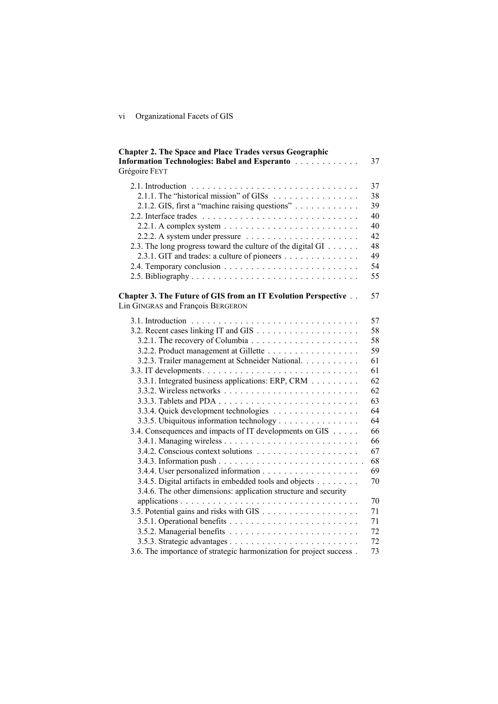# vi Organizational Facets of GIS

| <b>Chapter 2. The Space and Place Trades versus Geographic</b>      |    |
|---------------------------------------------------------------------|----|
| Information Technologies: Babel and Esperanto                       | 37 |
| Grégoire FEYT                                                       |    |
|                                                                     | 37 |
| 2.1.1. The "historical mission" of GISs                             | 38 |
|                                                                     | 39 |
|                                                                     | 40 |
|                                                                     | 40 |
|                                                                     | 42 |
| 2.3. The long progress toward the culture of the digital GI         | 48 |
| 2.3.1. GIT and trades: a culture of pioneers                        | 49 |
|                                                                     | 54 |
|                                                                     | 55 |
|                                                                     |    |
| Chapter 3. The Future of GIS from an IT Evolution Perspective       | 57 |
| Lin GINGRAS and François BERGERON                                   |    |
|                                                                     | 57 |
|                                                                     | 58 |
|                                                                     | 58 |
|                                                                     | 59 |
| 3.2.3. Trailer management at Schneider National.                    | 61 |
|                                                                     | 61 |
| 3.3.1. Integrated business applications: ERP, CRM                   | 62 |
|                                                                     | 62 |
|                                                                     | 63 |
| 3.3.4. Quick development technologies                               | 64 |
| 3.3.5. Ubiquitous information technology                            | 64 |
| 3.4. Consequences and impacts of IT developments on GIS             | 66 |
|                                                                     | 66 |
|                                                                     | 67 |
|                                                                     | 68 |
|                                                                     | 69 |
| 3.4.5. Digital artifacts in embedded tools and objects              | 70 |
| 3.4.6. The other dimensions: application structure and security     |    |
|                                                                     | 70 |
|                                                                     | 71 |
|                                                                     | 71 |
|                                                                     | 72 |
|                                                                     | 72 |
| 3.6. The importance of strategic harmonization for project success. | 73 |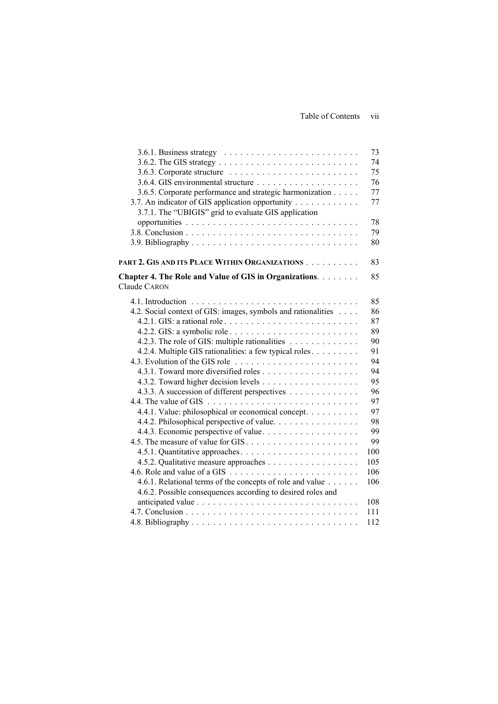|                                                               | 73  |
|---------------------------------------------------------------|-----|
|                                                               | 74  |
|                                                               | 75  |
|                                                               | 76  |
| 3.6.5. Corporate performance and strategic harmonization      | 77  |
| 3.7. An indicator of GIS application opportunity              | 77  |
| 3.7.1. The "UBIGIS" grid to evaluate GIS application          |     |
|                                                               | 78  |
|                                                               | 79  |
|                                                               | 80  |
| PART 2. GIS AND ITS PLACE WITHIN ORGANIZATIONS                | 83  |
| Chapter 4. The Role and Value of GIS in Organizations.        | 85  |
| <b>Claude CARON</b>                                           |     |
|                                                               | 85  |
| 4.2. Social context of GIS: images, symbols and rationalities | 86  |
|                                                               | 87  |
|                                                               | 89  |
| 4.2.3. The role of GIS: multiple rationalities                | 90  |
| 4.2.4. Multiple GIS rationalities: a few typical roles        | 91  |
|                                                               | 94  |
|                                                               | 94  |
|                                                               | 95  |
| 4.3.3. A succession of different perspectives                 | 96  |
|                                                               | 97  |
| 4.4.1. Value: philosophical or economical concept.            | 97  |
| 4.4.2. Philosophical perspective of value.                    | 98  |
| 4.4.3. Economic perspective of value                          | 99  |
|                                                               | 99  |
|                                                               | 100 |
| 4.5.2. Qualitative measure approaches                         | 105 |
|                                                               | 106 |
| 4.6.1. Relational terms of the concepts of role and value     | 106 |
| 4.6.2. Possible consequences according to desired roles and   |     |
|                                                               | 108 |
|                                                               | 111 |
|                                                               | 112 |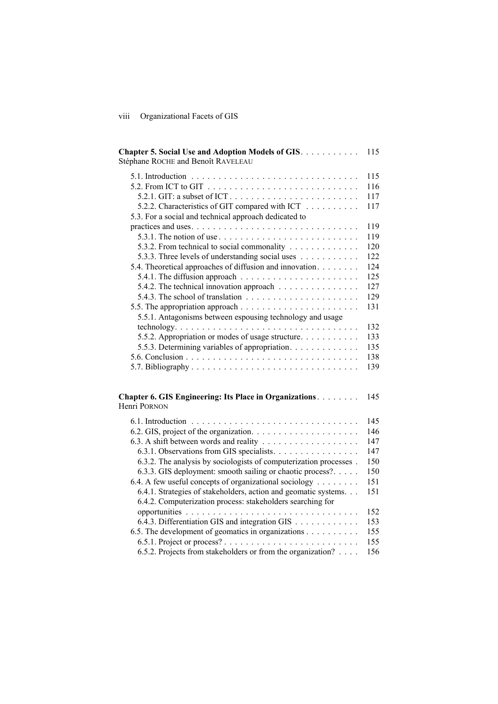# viii Organizational Facets of GIS

| Chapter 5. Social Use and Adoption Models of GIS.<br>Stéphane ROCHE and Benoît RAVELEAU    | 115 |
|--------------------------------------------------------------------------------------------|-----|
|                                                                                            | 115 |
|                                                                                            | 116 |
|                                                                                            | 117 |
| 5.2.2. Characteristics of GIT compared with ICT                                            | 117 |
| 5.3. For a social and technical approach dedicated to                                      |     |
|                                                                                            | 119 |
|                                                                                            | 119 |
|                                                                                            | 120 |
| 5.3.2. From technical to social commonality                                                |     |
| 5.3.3. Three levels of understanding social uses                                           | 122 |
| 5.4. Theoretical approaches of diffusion and innovation.                                   | 124 |
| 5.4.1. The diffusion approach $\ldots \ldots \ldots \ldots \ldots \ldots \ldots$           | 125 |
| 5.4.2. The technical innovation approach                                                   | 127 |
| 5.4.3. The school of translation $\ldots \ldots \ldots \ldots \ldots \ldots \ldots$        | 129 |
|                                                                                            | 131 |
| 5.5.1. Antagonisms between espousing technology and usage                                  |     |
| $technology. \ldots \ldots \ldots \ldots \ldots \ldots \ldots \ldots \ldots \ldots \ldots$ | 132 |
| 5.5.2. Appropriation or modes of usage structure                                           | 133 |
| 5.5.3. Determining variables of appropriation.                                             | 135 |
|                                                                                            | 138 |
|                                                                                            | 139 |
| Chapter 6. GIS Engineering: Its Place in Organizations.                                    | 145 |
| Henri PORNON                                                                               |     |
|                                                                                            | 145 |
|                                                                                            | 146 |
|                                                                                            | 147 |
| 6.3.1. Observations from GIS specialists.                                                  | 147 |
| 6.3.2. The analysis by sociologists of computerization processes.                          | 150 |
| 6.3.3. GIS deployment: smooth sailing or chaotic process?                                  | 150 |
| 6.4. A few useful concepts of organizational sociology                                     | 151 |
| 6.4.1. Strategies of stakeholders, action and geomatic systems.                            | 151 |
| 6.4.2. Computerization process: stakeholders searching for                                 |     |
|                                                                                            | 152 |
| 6.4.3. Differentiation GIS and integration GIS                                             | 153 |
| 6.5. The development of geomatics in organizations                                         | 155 |
|                                                                                            | 155 |
| 6.5.2. Projects from stakeholders or from the organization?                                | 156 |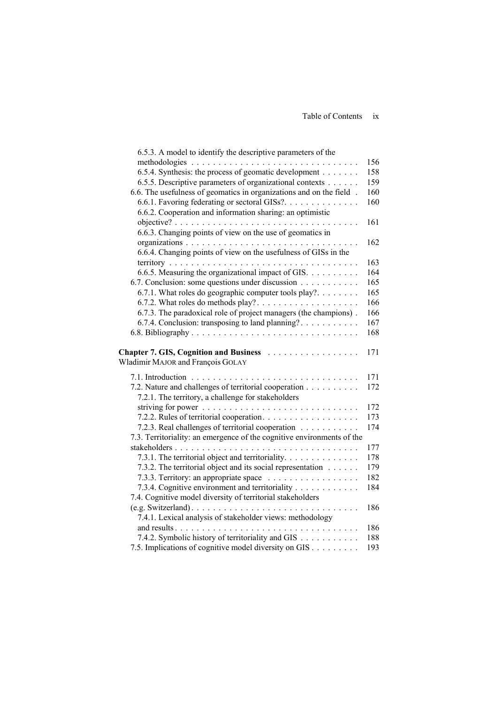| 6.5.3. A model to identify the descriptive parameters of the           |     |
|------------------------------------------------------------------------|-----|
|                                                                        | 156 |
| 6.5.4. Synthesis: the process of geomatic development                  | 158 |
| 6.5.5. Descriptive parameters of organizational contexts               | 159 |
| 6.6. The usefulness of geomatics in organizations and on the field.    | 160 |
| 6.6.1. Favoring federating or sectoral GISs?.                          | 160 |
| 6.6.2. Cooperation and information sharing: an optimistic              |     |
|                                                                        | 161 |
| 6.6.3. Changing points of view on the use of geomatics in              |     |
|                                                                        | 162 |
| 6.6.4. Changing points of view on the usefulness of GISs in the        |     |
|                                                                        | 163 |
| 6.6.5. Measuring the organizational impact of GIS.                     | 164 |
| 6.7. Conclusion: some questions under discussion                       | 165 |
| 6.7.1. What roles do geographic computer tools play?                   | 165 |
|                                                                        | 166 |
| 6.7.3. The paradoxical role of project managers (the champions).       | 166 |
| 6.7.4. Conclusion: transposing to land planning?                       | 167 |
|                                                                        | 168 |
|                                                                        |     |
| Chapter 7. GIS, Cognition and Business                                 | 171 |
| Wladimir MAJOR and François GOLAY                                      |     |
|                                                                        | 171 |
| 7.2. Nature and challenges of territorial cooperation                  | 172 |
| 7.2.1. The territory, a challenge for stakeholders                     |     |
|                                                                        | 172 |
| 7.2.2. Rules of territorial cooperation.                               | 173 |
| 7.2.3. Real challenges of territorial cooperation                      | 174 |
| 7.3. Territoriality: an emergence of the cognitive environments of the |     |
|                                                                        | 177 |
| 7.3.1. The territorial object and territoriality.                      | 178 |
| 7.3.2. The territorial object and its social representation            | 179 |
| 7.3.3. Territory: an appropriate space                                 | 182 |
| 7.3.4. Cognitive environment and territoriality                        | 184 |
| 7.4. Cognitive model diversity of territorial stakeholders             |     |
|                                                                        | 186 |
| 7.4.1. Lexical analysis of stakeholder views: methodology              |     |
|                                                                        | 186 |
| 7.4.2. Symbolic history of territoriality and GIS                      | 188 |
| 7.5. Implications of cognitive model diversity on GIS                  | 193 |
|                                                                        |     |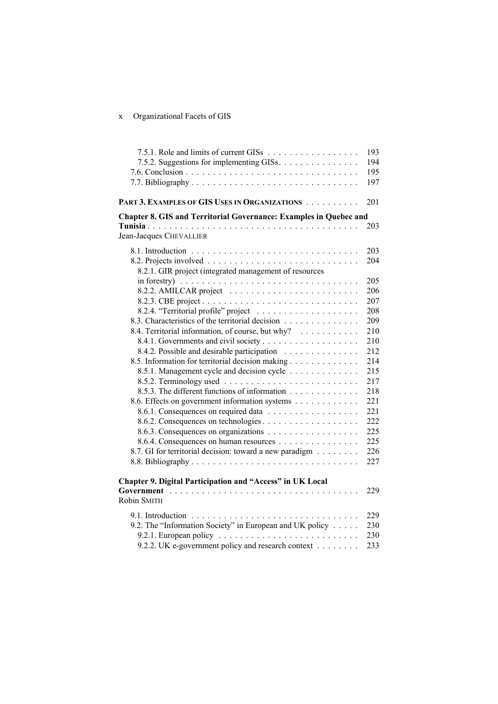# x Organizational Facets of GIS

| 7.5.1. Role and limits of current GISs                                                                                                 | 193        |
|----------------------------------------------------------------------------------------------------------------------------------------|------------|
| 7.5.2. Suggestions for implementing GISs.                                                                                              | 194        |
|                                                                                                                                        | 195        |
|                                                                                                                                        | 197        |
|                                                                                                                                        |            |
| PART 3. EXAMPLES OF GIS USES IN ORGANIZATIONS                                                                                          | 201        |
| Chapter 8. GIS and Territorial Governance: Examples in Quebec and                                                                      |            |
|                                                                                                                                        | 203        |
| Jean-Jacques CHEVALLIER                                                                                                                |            |
|                                                                                                                                        | 203        |
|                                                                                                                                        | 204        |
| 8.2.1. GIR project (integrated management of resources                                                                                 |            |
| in forestry) $\ldots \ldots \ldots \ldots \ldots \ldots \ldots \ldots \ldots \ldots \ldots$                                            | 205        |
|                                                                                                                                        | 206        |
|                                                                                                                                        | 207        |
|                                                                                                                                        | 208        |
| 8.3. Characteristics of the territorial decision                                                                                       | 209        |
| 8.4. Territorial information, of course, but why?                                                                                      | 210        |
|                                                                                                                                        | 210        |
| 8.4.2. Possible and desirable participation                                                                                            | 212        |
| 8.5. Information for territorial decision making                                                                                       | 214        |
| 8.5.1. Management cycle and decision cycle                                                                                             | 215        |
|                                                                                                                                        | 217        |
| 8.5.3. The different functions of information                                                                                          | 218        |
| 8.6. Effects on government information systems                                                                                         | 221        |
|                                                                                                                                        | 221        |
| 8.6.2. Consequences on technologies                                                                                                    | 222        |
|                                                                                                                                        | 225        |
| 8.6.4. Consequences on human resources                                                                                                 | 225        |
| 8.7. GI for territorial decision: toward a new paradigm                                                                                | 226        |
|                                                                                                                                        | 227        |
| Chapter 9. Digital Participation and "Access" in UK Local                                                                              |            |
|                                                                                                                                        | 229        |
| Robin SMITH                                                                                                                            |            |
|                                                                                                                                        |            |
| 9.2. The "Information Society" in European and UK policy                                                                               | 229<br>230 |
|                                                                                                                                        | 230        |
| 9.2.1. European policy $\ldots \ldots \ldots \ldots \ldots \ldots \ldots \ldots$<br>9.2.2. UK e-government policy and research context | 233        |
|                                                                                                                                        |            |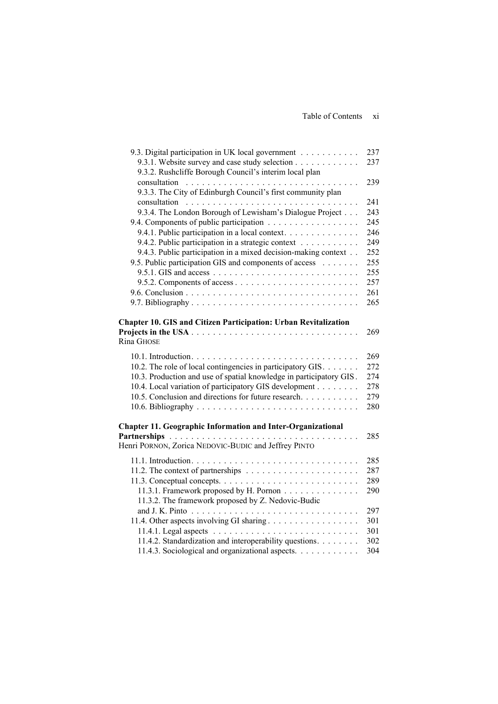| 9.3. Digital participation in UK local government                   | 237 |
|---------------------------------------------------------------------|-----|
| 9.3.1. Website survey and case study selection                      | 237 |
| 9.3.2. Rushcliffe Borough Council's interim local plan              |     |
|                                                                     | 239 |
| 9.3.3. The City of Edinburgh Council's first community plan         |     |
|                                                                     | 241 |
| 9.3.4. The London Borough of Lewisham's Dialogue Project            | 243 |
| 9.4. Components of public participation                             | 245 |
| 9.4.1. Public participation in a local context.                     | 246 |
| 9.4.2. Public participation in a strategic context                  | 249 |
| 9.4.3. Public participation in a mixed decision-making context      | 252 |
| 9.5. Public participation GIS and components of access              | 255 |
|                                                                     | 255 |
|                                                                     | 257 |
|                                                                     | 261 |
|                                                                     | 265 |
|                                                                     |     |
| Chapter 10. GIS and Citizen Participation: Urban Revitalization     |     |
|                                                                     | 269 |
| Rina GHOSE                                                          |     |
|                                                                     | 269 |
| 10.2. The role of local contingencies in participatory GIS.         | 272 |
| 10.3. Production and use of spatial knowledge in participatory GIS. | 274 |
| 10.4. Local variation of participatory GIS development              | 278 |
| 10.5. Conclusion and directions for future research                 | 279 |
|                                                                     | 280 |
|                                                                     |     |
| <b>Chapter 11. Geographic Information and Inter-Organizational</b>  |     |
| <b>Partnerships</b>                                                 | 285 |
| Henri PORNON, Zorica NEDOVIC-BUDIC and Jeffrey PINTO                |     |
|                                                                     | 285 |
|                                                                     | 287 |
|                                                                     | 289 |
| 11.3.1. Framework proposed by H. Pornon                             | 290 |
| 11.3.2. The framework proposed by Z. Nedovic-Budic                  |     |
|                                                                     | 297 |
|                                                                     | 301 |
|                                                                     | 301 |
| 11.4.2. Standardization and interoperability questions.             | 302 |
| 11.4.3. Sociological and organizational aspects.                    | 304 |